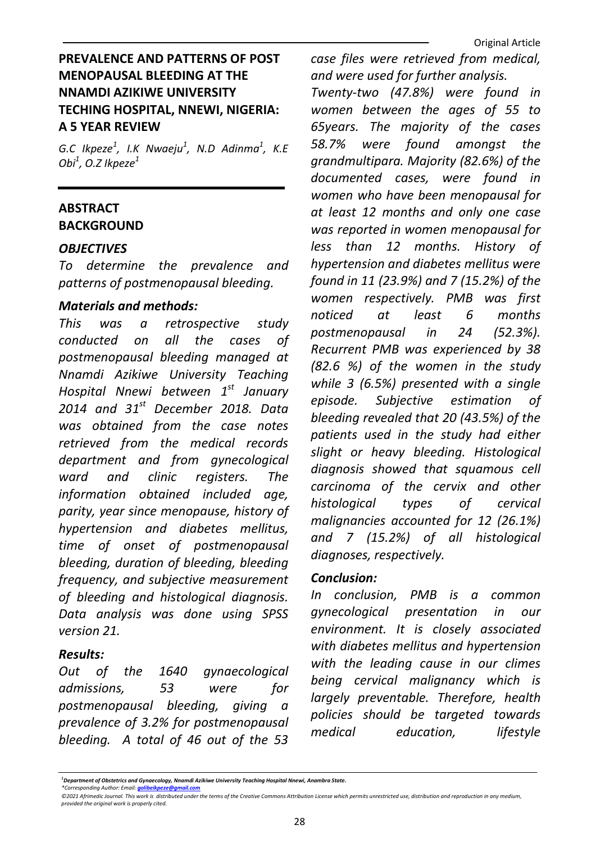# PREVALENCE AND PATTERNS OF POST MENOPAUSAL BLEEDING AT THE NNAMDI AZIKIWE UNIVERSITY TECHING HOSPITAL, NNEWI, NIGERIA: A 5 YEAR REVIEW

G.C Ikpeze $^1$ , I.K Nwaeju $^1$ , N.D Adinma $^1$ , K.E Obi $^1$ , O.Z Ikpeze $^1$ 

# ABSTRACT BACKGROUND

#### **OBJECTIVES**

To determine the prevalence and patterns of postmenopausal bleeding.

#### Materials and methods:

This was a retrospective study conducted on all the cases of postmenopausal bleeding managed at Nnamdi Azikiwe University Teaching Hospital Nnewi between 1<sup>st</sup> January 2014 and  $31<sup>st</sup>$  December 2018. Data was obtained from the case notes retrieved from the medical records department and from gynecological ward and clinic reaisters. The information obtained included age, parity, year since menopause, history of hypertension and diabetes mellitus, time of onset of postmenopausal bleeding, duration of bleeding, bleeding frequency, and subjective measurement of bleeding and histological diagnosis. Data analysis was done using SPSS version 21.

## Results:

Out of the 1640 gynaecological admissions, 53 were for postmenopausal bleeding, giving a prevalence of 3.2% for postmenopausal bleeding. A total of 46 out of the 53

case files were retrieved from medical, and were used for further analysis.

Twenty-two (47.8%) were found in women between the ages of 55 to 65years. The majority of the cases 58.7% were found amongst the grandmultipara. Majority (82.6%) of the documented cases, were found in women who have been menopausal for at least 12 months and only one case was reported in women menopausal for less than 12 months. History of hypertension and diabetes mellitus were found in 11 (23.9%) and 7 (15.2%) of the women respectively. PMB was first noticed at least 6 months postmenopausal in 24 (52.3%). Recurrent PMB was experienced by 38 (82.6 %) of the women in the study while 3 (6.5%) presented with a single episode. Subjective estimation of bleeding revealed that 20 (43.5%) of the patients used in the study had either slight or heavy bleeding. Histological diagnosis showed that squamous cell carcinoma of the cervix and other histological types of cervical malignancies accounted for 12 (26.1%) and 7 (15.2%) of all histological diagnoses, respectively.

#### Conclusion:

In conclusion, PMB is a common gynecological presentation in our environment. It is closely associated with diabetes mellitus and hypertension with the leading cause in our climes being cervical malignancy which is largely preventable. Therefore, health policies should be targeted towards medical education, lifestyle

 $^{\rm 1}$ Department of Obstetrics and Gynaecology, Nnamdi Azikiwe University Teaching Hospital Nnewi, Anambra State

<sup>\*</sup>Corresponding Author: Email: golibeikpeze@gmail.com

<sup>©2021</sup> Afrimedic Journal. This work is distributed under the terms of the Creative Commons Attribution License which permits unrestricted use, distribution and reproduction in any medium, provided the original work is properly cited.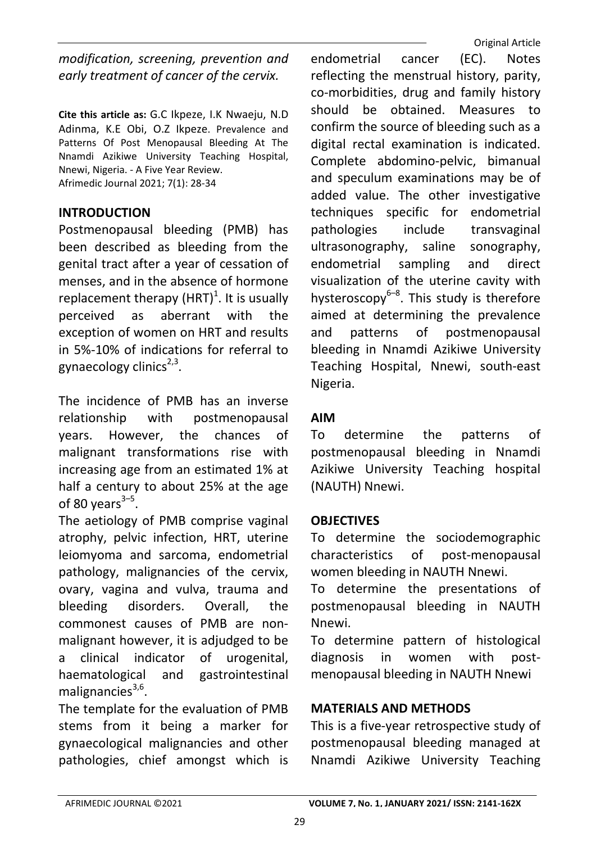Original Article

modification, screening, prevention and early treatment of cancer of the cervix.

Cite this article as: G.C Ikpeze, I.K Nwaeju, N.D Adinma, K.E Obi, O.Z Ikpeze. Prevalence and Patterns Of Post Menopausal Bleeding At The Nnamdi Azikiwe University Teaching Hospital, Nnewi, Nigeria. - A Five Year Review. Afrimedic Journal 2021; 7(1): 28-34

# INTRODUCTION

Postmenopausal bleeding (PMB) has been described as bleeding from the genital tract after a year of cessation of menses, and in the absence of hormone replacement therapy (HRT)<sup>1</sup>. It is usually perceived as aberrant with the exception of women on HRT and results in 5%-10% of indications for referral to gynaecology clinics<sup>2,3</sup>.

The incidence of PMB has an inverse relationship with postmenopausal years. However, the chances of malignant transformations rise with increasing age from an estimated 1% at half a century to about 25% at the age of 80 years $3-5$ .

The aetiology of PMB comprise vaginal atrophy, pelvic infection, HRT, uterine leiomyoma and sarcoma, endometrial pathology, malignancies of the cervix, ovary, vagina and vulva, trauma and bleeding disorders. Overall, the commonest causes of PMB are nonmalignant however, it is adjudged to be a clinical indicator of urogenital, haematological and gastrointestinal malignancies<sup>3,6</sup>.

The template for the evaluation of PMB stems from it being a marker for gynaecological malignancies and other pathologies, chief amongst which is endometrial cancer (EC). Notes reflecting the menstrual history, parity, co-morbidities, drug and family history should be obtained. Measures to confirm the source of bleeding such as a digital rectal examination is indicated. Complete abdomino-pelvic, bimanual and speculum examinations may be of added value. The other investigative techniques specific for endometrial pathologies include transvaginal ultrasonography, saline sonography, endometrial sampling and direct visualization of the uterine cavity with hysteroscopy $6-8$ . This study is therefore aimed at determining the prevalence and patterns of postmenopausal bleeding in Nnamdi Azikiwe University Teaching Hospital, Nnewi, south-east Nigeria.

# AIM

To determine the patterns of postmenopausal bleeding in Nnamdi Azikiwe University Teaching hospital (NAUTH) Nnewi.

## **OBJECTIVES**

To determine the sociodemographic characteristics of post-menopausal women bleeding in NAUTH Nnewi.

To determine the presentations of postmenopausal bleeding in NAUTH Nnewi.

To determine pattern of histological diagnosis in women with postmenopausal bleeding in NAUTH Nnewi

# MATERIALS AND METHODS

This is a five-year retrospective study of postmenopausal bleeding managed at Nnamdi Azikiwe University Teaching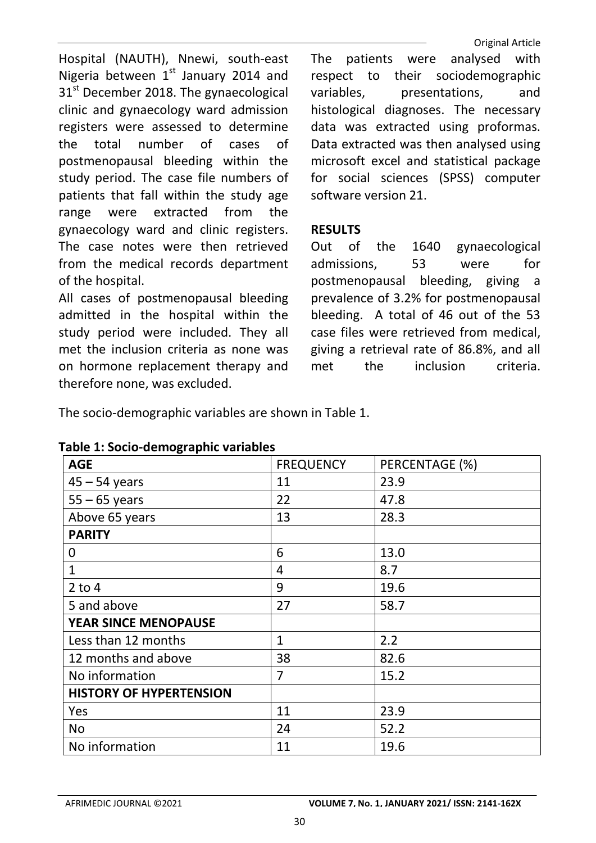Hospital (NAUTH), Nnewi, south-east Nigeria between  $1<sup>st</sup>$  January 2014 and 31<sup>st</sup> December 2018. The gynaecological clinic and gynaecology ward admission registers were assessed to determine the total number of cases of postmenopausal bleeding within the study period. The case file numbers of patients that fall within the study age range were extracted from the gynaecology ward and clinic registers. The case notes were then retrieved from the medical records department of the hospital.

All cases of postmenopausal bleeding admitted in the hospital within the study period were included. They all met the inclusion criteria as none was on hormone replacement therapy and therefore none, was excluded.

 Original Article The patients were analysed with respect to their sociodemographic variables, presentations, and histological diagnoses. The necessary data was extracted using proformas. Data extracted was then analysed using microsoft excel and statistical package for social sciences (SPSS) computer software version 21.

#### RESULTS

Out of the 1640 gynaecological admissions, 53 were for postmenopausal bleeding, giving a prevalence of 3.2% for postmenopausal bleeding. A total of 46 out of the 53 case files were retrieved from medical, giving a retrieval rate of 86.8%, and all met the inclusion criteria.

The socio-demographic variables are shown in Table 1.

| <b>AGE</b>                     | <b>FREQUENCY</b> | PERCENTAGE (%) |  |
|--------------------------------|------------------|----------------|--|
| $45 - 54$ years                | 11               | 23.9           |  |
| $55 - 65$ years                | 22               | 47.8           |  |
| Above 65 years                 | 13               | 28.3           |  |
| <b>PARITY</b>                  |                  |                |  |
| 0                              | 6                | 13.0           |  |
| $\mathbf{1}$                   | 4                | 8.7            |  |
| $2$ to $4$                     | 9                | 19.6           |  |
| 5 and above                    | 27               | 58.7           |  |
| YEAR SINCE MENOPAUSE           |                  |                |  |
| Less than 12 months            | $\mathbf{1}$     | 2.2            |  |
| 12 months and above            | 38               | 82.6           |  |
| No information                 | 7                | 15.2           |  |
| <b>HISTORY OF HYPERTENSION</b> |                  |                |  |
| Yes                            | 11               | 23.9           |  |
| <b>No</b>                      | 24               | 52.2           |  |
| No information                 | 11               | 19.6           |  |

#### Table 1: Socio-demographic variables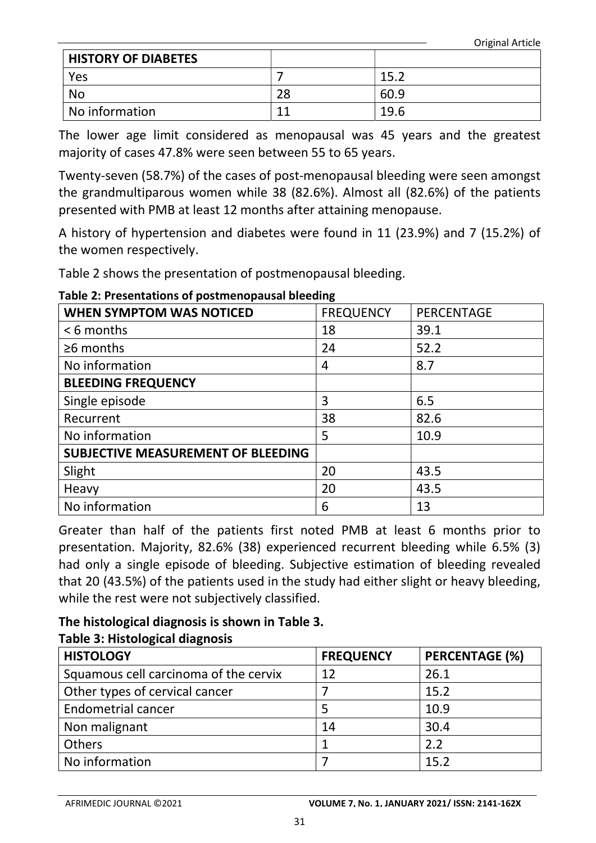Original Article

| <b>HISTORY OF DIABETES</b> |      |                 |
|----------------------------|------|-----------------|
| Yes                        |      | $.15$ $\degree$ |
| <b>No</b>                  | 28   | 60.9            |
| No information             | -1-1 | 19.6            |

The lower age limit considered as menopausal was 45 years and the greatest majority of cases 47.8% were seen between 55 to 65 years.

Twenty-seven (58.7%) of the cases of post-menopausal bleeding were seen amongst the grandmultiparous women while 38 (82.6%). Almost all (82.6%) of the patients presented with PMB at least 12 months after attaining menopause.

A history of hypertension and diabetes were found in 11 (23.9%) and 7 (15.2%) of the women respectively.

Table 2 shows the presentation of postmenopausal bleeding.

| WHEN SYMPTOM WAS NOTICED                  | <b>FREQUENCY</b> | PERCENTAGE |
|-------------------------------------------|------------------|------------|
| $< 6$ months                              | 18               | 39.1       |
| $\geq 6$ months                           | 24               | 52.2       |
| No information                            | 4                | 8.7        |
| <b>BLEEDING FREQUENCY</b>                 |                  |            |
| Single episode                            | 3                | 6.5        |
| Recurrent                                 | 38               | 82.6       |
| No information                            | 5                | 10.9       |
| <b>SUBJECTIVE MEASUREMENT OF BLEEDING</b> |                  |            |
| Slight                                    | 20               | 43.5       |
| Heavy                                     | 20               | 43.5       |
| No information                            | 6                | 13         |

#### Table 2: Presentations of postmenopausal bleeding

Greater than half of the patients first noted PMB at least 6 months prior to presentation. Majority, 82.6% (38) experienced recurrent bleeding while 6.5% (3) had only a single episode of bleeding. Subjective estimation of bleeding revealed that 20 (43.5%) of the patients used in the study had either slight or heavy bleeding, while the rest were not subjectively classified.

# The histological diagnosis is shown in Table 3.

# Table 3: Histological diagnosis

| <b>HISTOLOGY</b>                      | <b>FREQUENCY</b> | <b>PERCENTAGE (%)</b> |
|---------------------------------------|------------------|-----------------------|
| Squamous cell carcinoma of the cervix | 12               | 26.1                  |
| Other types of cervical cancer        |                  | 15.2                  |
| <b>Endometrial cancer</b>             |                  | 10.9                  |
| Non malignant                         | 14               | 30.4                  |
| Others                                |                  | 2.2                   |
| No information                        |                  | 15.2                  |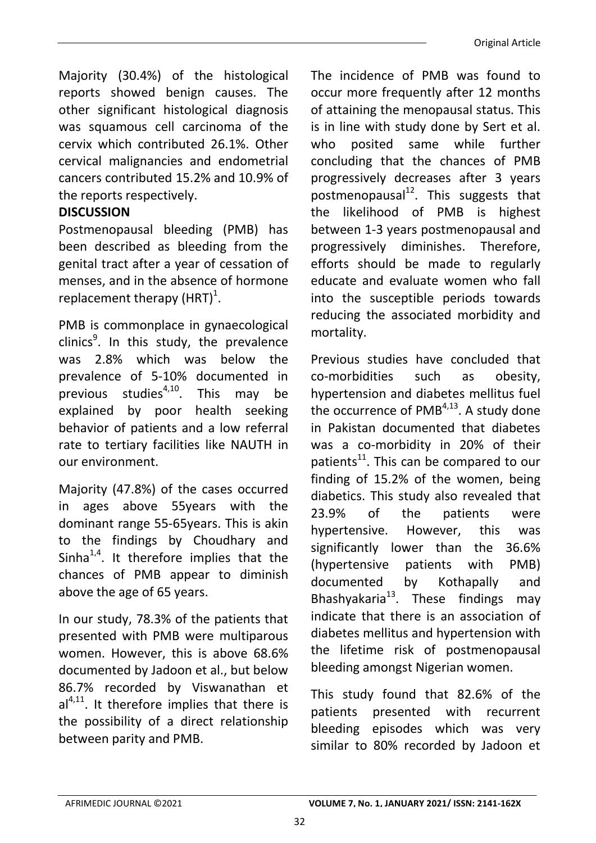Majority (30.4%) of the histological reports showed benign causes. The other significant histological diagnosis was squamous cell carcinoma of the cervix which contributed 26.1%. Other cervical malignancies and endometrial cancers contributed 15.2% and 10.9% of the reports respectively.

## **DISCUSSION**

Postmenopausal bleeding (PMB) has been described as bleeding from the genital tract after a year of cessation of menses, and in the absence of hormone replacement therapy (HRT)<sup>1</sup>.

PMB is commonplace in gynaecological clinics<sup>9</sup>. In this study, the prevalence was 2.8% which was below the prevalence of 5-10% documented in previous studies $4,10$ . This may be explained by poor health seeking behavior of patients and a low referral rate to tertiary facilities like NAUTH in our environment.

Majority (47.8%) of the cases occurred in ages above 55years with the dominant range 55-65years. This is akin to the findings by Choudhary and Sinha $^{1,4}$ . It therefore implies that the chances of PMB appear to diminish above the age of 65 years.

In our study, 78.3% of the patients that presented with PMB were multiparous women. However, this is above 68.6% documented by Jadoon et al., but below 86.7% recorded by Viswanathan et  $al^{4,11}$ . It therefore implies that there is the possibility of a direct relationship between parity and PMB.

The incidence of PMB was found to occur more frequently after 12 months of attaining the menopausal status. This is in line with study done by Sert et al. who posited same while further concluding that the chances of PMB progressively decreases after 3 years postmenopausal<sup>12</sup>. This suggests that the likelihood of PMB is highest between 1-3 years postmenopausal and progressively diminishes. Therefore, efforts should be made to regularly educate and evaluate women who fall into the susceptible periods towards reducing the associated morbidity and mortality.

Previous studies have concluded that co-morbidities such as obesity, hypertension and diabetes mellitus fuel the occurrence of  $PMB^{4,13}$ . A study done in Pakistan documented that diabetes was a co-morbidity in 20% of their patients $^{11}$ . This can be compared to our finding of 15.2% of the women, being diabetics. This study also revealed that 23.9% of the patients were hypertensive. However, this was significantly lower than the 36.6% (hypertensive patients with PMB) documented by Kothapally and Bhashyakaria<sup>13</sup>. These findings may indicate that there is an association of diabetes mellitus and hypertension with the lifetime risk of postmenopausal bleeding amongst Nigerian women.

This study found that 82.6% of the patients presented with recurrent bleeding episodes which was very similar to 80% recorded by Jadoon et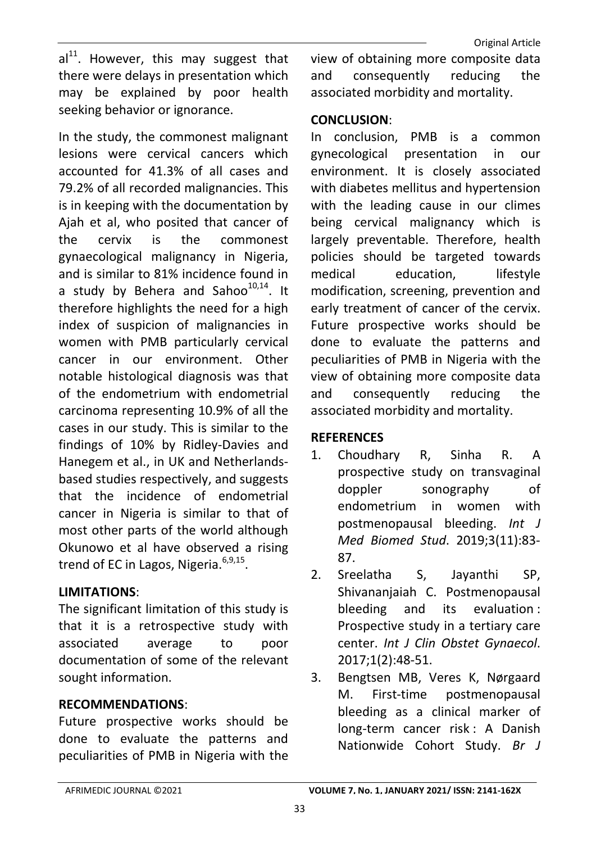$al<sup>11</sup>$ . However, this may suggest that there were delays in presentation which may be explained by poor health seeking behavior or ignorance.

In the study, the commonest malignant lesions were cervical cancers which accounted for 41.3% of all cases and 79.2% of all recorded malignancies. This is in keeping with the documentation by Ajah et al, who posited that cancer of the cervix is the commonest gynaecological malignancy in Nigeria, and is similar to 81% incidence found in a study by Behera and Sahoo $^{10,14}$ . It therefore highlights the need for a high index of suspicion of malignancies in women with PMB particularly cervical cancer in our environment. Other notable histological diagnosis was that of the endometrium with endometrial carcinoma representing 10.9% of all the cases in our study. This is similar to the findings of 10% by Ridley-Davies and Hanegem et al., in UK and Netherlandsbased studies respectively, and suggests that the incidence of endometrial cancer in Nigeria is similar to that of most other parts of the world although Okunowo et al have observed a rising trend of EC in Lagos, Nigeria.<sup>6,9,15</sup>.

## LIMITATIONS:

The significant limitation of this study is that it is a retrospective study with associated average to poor documentation of some of the relevant sought information.

## RECOMMENDATIONS:

Future prospective works should be done to evaluate the patterns and peculiarities of PMB in Nigeria with the

view of obtaining more composite data and consequently reducing the associated morbidity and mortality.

#### CONCLUSION:

In conclusion, PMB is a common gynecological presentation in our environment. It is closely associated with diabetes mellitus and hypertension with the leading cause in our climes being cervical malignancy which is largely preventable. Therefore, health policies should be targeted towards medical education, lifestyle modification, screening, prevention and early treatment of cancer of the cervix. Future prospective works should be done to evaluate the patterns and peculiarities of PMB in Nigeria with the view of obtaining more composite data and consequently reducing the associated morbidity and mortality.

## **REFERENCES**

- 1. Choudhary R, Sinha R. A prospective study on transvaginal doppler sonography of endometrium in women with postmenopausal bleeding. Int J Med Biomed Stud. 2019;3(11):83- 87.
- 2. Sreelatha S, Jayanthi SP, Shivananjaiah C. Postmenopausal bleeding and its evaluation : Prospective study in a tertiary care center. Int J Clin Obstet Gynaecol. 2017;1(2):48-51.
- 3. Bengtsen MB, Veres K, Nørgaard M. First-time postmenopausal bleeding as a clinical marker of long-term cancer risk : A Danish Nationwide Cohort Study. Br J